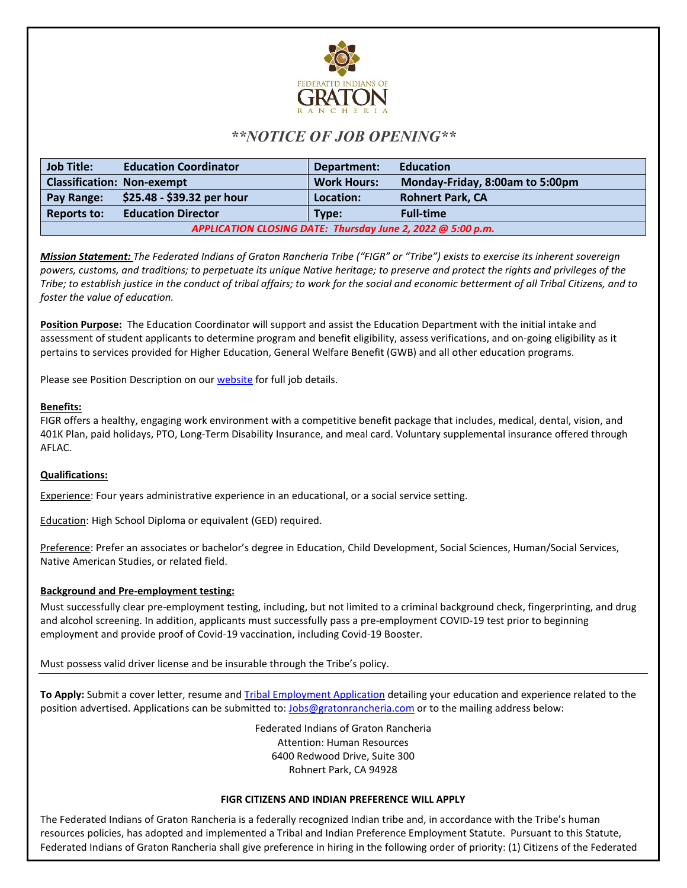

# *\*\*NOTICE OF JOB OPENING\*\**

| <b>Job Title:</b>                                           | <b>Education Coordinator</b> | Department:        | <b>Education</b>                |
|-------------------------------------------------------------|------------------------------|--------------------|---------------------------------|
| <b>Classification: Non-exempt</b>                           |                              | <b>Work Hours:</b> | Monday-Friday, 8:00am to 5:00pm |
| Pay Range:                                                  | \$25.48 - \$39.32 per hour   | Location:          | <b>Rohnert Park, CA</b>         |
| <b>Reports to:</b>                                          | <b>Education Director</b>    | Type:              | <b>Full-time</b>                |
| APPLICATION CLOSING DATE: Thursday June 2, 2022 @ 5:00 p.m. |                              |                    |                                 |

*Mission Statement: The Federated Indians of Graton Rancheria Tribe ("FIGR" or "Tribe") exists to exercise its inherent sovereign powers, customs, and traditions; to perpetuate its unique Native heritage; to preserve and protect the rights and privileges of the Tribe; to establish justice in the conduct of tribal affairs; to work for the social and economic betterment of all Tribal Citizens, and to foster the value of education.*

**Position Purpose:** The Education Coordinator will support and assist the Education Department with the initial intake and assessment of student applicants to determine program and benefit eligibility, assess verifications, and on-going eligibility as it pertains to services provided for Higher Education, General Welfare Benefit (GWB) and all other education programs.

Please see Position Description on our **website** for full job details.

## **Benefits:**

FIGR offers a healthy, engaging work environment with a competitive benefit package that includes, medical, dental, vision, and 401K Plan, paid holidays, PTO, Long-Term Disability Insurance, and meal card. Voluntary supplemental insurance offered through AFLAC.

## **Qualifications:**

Experience: Four years administrative experience in an educational, or a social service setting.

Education: High School Diploma or equivalent (GED) required.

Preference: Prefer an associates or bachelor's degree in Education, Child Development, Social Sciences, Human/Social Services, Native American Studies, or related field.

## **Background and Pre-employment testing:**

Must successfully clear pre-employment testing, including, but not limited to a criminal background check, fingerprinting, and drug and alcohol screening. In addition, applicants must successfully pass a pre-employment COVID-19 test prior to beginning employment and provide proof of Covid-19 vaccination, including Covid-19 Booster.

Must possess valid driver license and be insurable through the Tribe's policy.

**To Apply:** Submit a cover letter, resume and [Tribal Employment Application](https://gratonrancheria.com/wp-content/uploads/2018/11/rev.FIGR_Employment_App_Rev_3_19_18.pdf) detailing your education and experience related to the position advertised. Applications can be submitted to[: Jobs@gratonrancheria.com](mailto:Jobs@gratonrancheria.com) or to the mailing address below:

> Federated Indians of Graton Rancheria Attention: Human Resources 6400 Redwood Drive, Suite 300 Rohnert Park, CA 94928

### **FIGR CITIZENS AND INDIAN PREFERENCE WILL APPLY**

The Federated Indians of Graton Rancheria is a federally recognized Indian tribe and, in accordance with the Tribe's human resources policies, has adopted and implemented a Tribal and Indian Preference Employment Statute. Pursuant to this Statute, Federated Indians of Graton Rancheria shall give preference in hiring in the following order of priority: (1) Citizens of the Federated